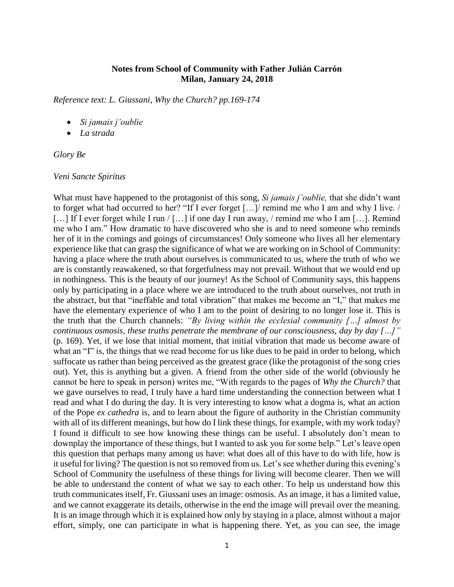# **Notes from School of Community with Father Julián Carrón Milan, January 24, 2018**

*Reference text: L. Giussani, Why the Church? pp.169-174*

- *Si jamais j'oublie*
- *La strada*

## *Glory Be*

## *Veni Sancte Spiritus*

What must have happened to the protagonist of this song, *Si jamais j'oublie,* that she didn't want to forget what had occurred to her? "If I ever forget […]/ remind me who I am and why I live. / [...] If I ever forget while I run / [...] if one day I run away, / remind me who I am [...]. Remind me who I am." How dramatic to have discovered who she is and to need someone who reminds her of it in the comings and goings of circumstances! Only someone who lives all her elementary experience like that can grasp the significance of what we are working on in School of Community: having a place where the truth about ourselves is communicated to us, where the truth of who we are is constantly reawakened, so that forgetfulness may not prevail. Without that we would end up in nothingness. This is the beauty of our journey! As the School of Community says, this happens only by participating in a place where we are introduced to the truth about ourselves, not truth in the abstract, but that "ineffable and total vibration" that makes me become an "I," that makes me have the elementary experience of who I am to the point of desiring to no longer lose it. This is the truth that the Church channels: *"By living within the ecclesial community […] almost by continuous osmosis, these truths penetrate the membrane of our consciousness, day by day […]"* (p. 169). Yet, if we lose that initial moment, that initial vibration that made us become aware of what an "I" is, the things that we read become for us like dues to be paid in order to belong, which suffocate us rather than being perceived as the greatest grace (like the protagonist of the song cries out). Yet, this is anything but a given. A friend from the other side of the world (obviously he cannot be here to speak in person) writes me, "With regards to the pages of *Why the Church?* that we gave ourselves to read, I truly have a hard time understanding the connection between what I read and what I do during the day. It is very interesting to know what a dogma is, what an action of the Pope *ex cathedra* is, and to learn about the figure of authority in the Christian community with all of its different meanings, but how do I link these things, for example, with my work today? I found it difficult to see how knowing these things can be useful. I absolutely don't mean to downplay the importance of these things, but I wanted to ask you for some help." Let's leave open this question that perhaps many among us have: what does all of this have to do with life, how is it useful for living? The question is not so removed from us. Let's see whether during this evening's School of Community the usefulness of these things for living will become clearer. Then we will be able to understand the content of what we say to each other. To help us understand how this truth communicates itself, Fr. Giussani uses an image: osmosis. As an image, it has a limited value, and we cannot exaggerate its details, otherwise in the end the image will prevail over the meaning. It is an image through which it is explained how only by staying in a place, almost without a major effort, simply, one can participate in what is happening there. Yet, as you can see, the image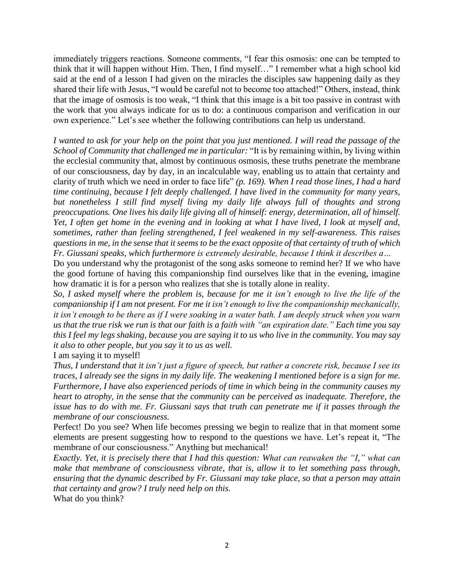immediately triggers reactions. Someone comments, "I fear this osmosis: one can be tempted to think that it will happen without Him. Then, I find myself…" I remember what a high school kid said at the end of a lesson I had given on the miracles the disciples saw happening daily as they shared their life with Jesus, "I would be careful not to become too attached!" Others, instead, think that the image of osmosis is too weak, "I think that this image is a bit too passive in contrast with the work that you always indicate for us to do: a continuous comparison and verification in our own experience." Let's see whether the following contributions can help us understand.

*I wanted to ask for your help on the point that you just mentioned. I will read the passage of the School of Community that challenged me in particular:* "It is by remaining within, by living within the ecclesial community that, almost by continuous osmosis, these truths penetrate the membrane of our consciousness, day by day, in an incalculable way, enabling us to attain that certainty and clarity of truth which we need in order to face life" *(p. 169). When I read those lines, I had a hard time continuing, because I felt deeply challenged. I have lived in the community for many years, but nonetheless I still find myself living my daily life always full of thoughts and strong preoccupations. One lives his daily life giving all of himself: energy, determination, all of himself. Yet, I often get home in the evening and in looking at what I have lived, I look at myself and, sometimes, rather than feeling strengthened, I feel weakened in my self-awareness. This raises questions in me, in the sense that it seems to be the exact opposite of that certainty of truth of which Fr. Giussani speaks, which furthermore is extremely desirable, because I think it describes a…*

Do you understand why the protagonist of the song asks someone to remind her? If we who have the good fortune of having this companionship find ourselves like that in the evening, imagine how dramatic it is for a person who realizes that she is totally alone in reality.

*So, I asked myself where the problem is, because for me it isn't enough to live the life of the companionship if I am not present. For me it isn't enough to live the companionship mechanically, it isn't enough to be there as if I were soaking in a water bath. I am deeply struck when you warn us that the true risk we run is that our faith is a faith with "an expiration date." Each time you say this I feel my legs shaking, because you are saying it to us who live in the community. You may say it also to other people, but you say it to us as well.*

I am saying it to myself!

*Thus, I understand that it isn't just a figure of speech, but rather a concrete risk, because I see its traces, I already see the signs in my daily life. The weakening I mentioned before is a sign for me. Furthermore, I have also experienced periods of time in which being in the community causes my heart to atrophy, in the sense that the community can be perceived as inadequate. Therefore, the issue has to do with me. Fr. Giussani says that truth can penetrate me if it passes through the membrane of our consciousness.*

Perfect! Do you see? When life becomes pressing we begin to realize that in that moment some elements are present suggesting how to respond to the questions we have. Let's repeat it, "The membrane of our consciousness." Anything but mechanical!

*Exactly. Yet, it is precisely there that I had this question: What can reawaken the "I," what can make that membrane of consciousness vibrate, that is, allow it to let something pass through, ensuring that the dynamic described by Fr. Giussani may take place, so that a person may attain that certainty and grow? I truly need help on this.*

What do you think?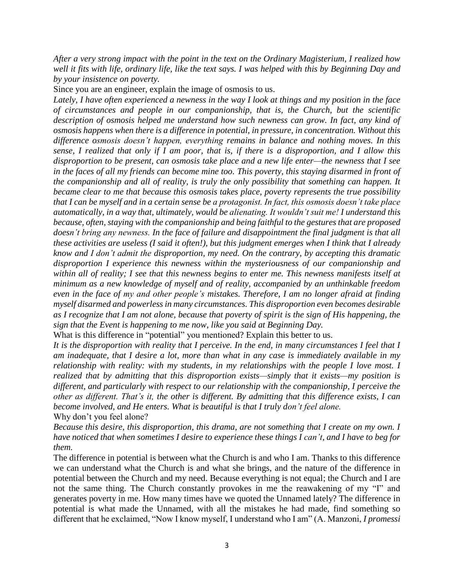*After a very strong impact with the point in the text on the Ordinary Magisterium, I realized how well it fits with life, ordinary life, like the text says. I was helped with this by Beginning Day and by your insistence on poverty.*

Since you are an engineer, explain the image of osmosis to us.

*Lately, I have often experienced a newness in the way I look at things and my position in the face of circumstances and people in our companionship, that is, the Church, but the scientific description of osmosis helped me understand how such newness can grow. In fact, any kind of osmosis happens when there is a difference in potential, in pressure, in concentration. Without this difference osmosis doesn't happen, everything remains in balance and nothing moves. In this sense, I realized that only if I am poor, that is, if there is a disproportion, and I allow this disproportion to be present, can osmosis take place and a new life enter—the newness that I see in the faces of all my friends can become mine too. This poverty, this staying disarmed in front of the companionship and all of reality, is truly the only possibility that something can happen. It became clear to me that because this osmosis takes place, poverty represents the true possibility that I can be myself and in a certain sense be a protagonist. In fact, this osmosis doesn't take place automatically, in a way that, ultimately, would be alienating. It wouldn't suit me! I understand this because, often, staying with the companionship and being faithful to the gestures that are proposed doesn't bring any newness. In the face of failure and disappointment the final judgment is that all these activities are useless (I said it often!), but this judgment emerges when I think that I already know and I don't admit the disproportion, my need. On the contrary, by accepting this dramatic disproportion I experience this newness within the mysteriousness of our companionship and within all of reality; I see that this newness begins to enter me. This newness manifests itself at minimum as a new knowledge of myself and of reality, accompanied by an unthinkable freedom even in the face of my and other people's mistakes. Therefore, I am no longer afraid at finding myself disarmed and powerless in many circumstances. This disproportion even becomes desirable as I recognize that I am not alone, because that poverty of spirit is the sign of His happening, the sign that the Event is happening to me now, like you said at Beginning Day.*

What is this difference in "potential" you mentioned? Explain this better to us.

*It is the disproportion with reality that I perceive. In the end, in many circumstances I feel that I am inadequate, that I desire a lot, more than what in any case is immediately available in my relationship with reality: with my students, in my relationships with the people I love most. I realized that by admitting that this disproportion exists—simply that it exists—my position is different, and particularly with respect to our relationship with the companionship, I perceive the other as different. That's it, the other is different. By admitting that this difference exists, I can become involved, and He enters. What is beautiful is that I truly don't feel alone.* Why don't you feel alone?

*Because this desire, this disproportion, this drama, are not something that I create on my own. I have noticed that when sometimes I desire to experience these things I can't, and I have to beg for them.*

The difference in potential is between what the Church is and who I am. Thanks to this difference we can understand what the Church is and what she brings, and the nature of the difference in potential between the Church and my need. Because everything is not equal; the Church and I are not the same thing. The Church constantly provokes in me the reawakening of my "I" and generates poverty in me. How many times have we quoted the Unnamed lately? The difference in potential is what made the Unnamed, with all the mistakes he had made, find something so different that he exclaimed, "Now I know myself, I understand who I am" (A. Manzoni, *I promessi*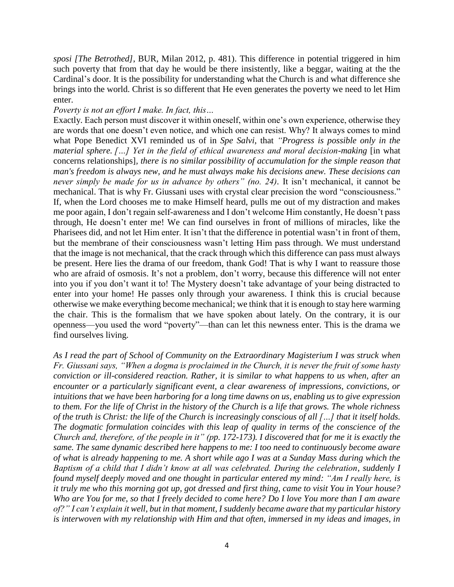*sposi [The Betrothed]*, BUR, Milan 2012, p. 481). This difference in potential triggered in him such poverty that from that day he would be there insistently, like a beggar, waiting at the the Cardinal's door. It is the possibility for understanding what the Church is and what difference she brings into the world. Christ is so different that He even generates the poverty we need to let Him enter.

## *Poverty is not an effort I make. In fact, this…*

Exactly. Each person must discover it within oneself, within one's own experience, otherwise they are words that one doesn't even notice, and which one can resist. Why? It always comes to mind what Pope Benedict XVI reminded us of in *Spe Salvi*, that *"Progress is possible only in the material sphere. […] Yet in the field of ethical awareness and moral decision-making* [in what concerns relationships]*, there is no similar possibility of accumulation for the simple reason that man's freedom is always new, and he must always make his decisions anew. These decisions can never simply be made for us in advance by others" (no. 24).* It isn't mechanical, it cannot be mechanical. That is why Fr. Giussani uses with crystal clear precision the word "consciousness." If, when the Lord chooses me to make Himself heard, pulls me out of my distraction and makes me poor again, I don't regain self-awareness and I don't welcome Him constantly, He doesn't pass through, He doesn't enter me! We can find ourselves in front of millions of miracles, like the Pharisees did, and not let Him enter. It isn't that the difference in potential wasn't in front of them, but the membrane of their consciousness wasn't letting Him pass through. We must understand that the image is not mechanical, that the crack through which this difference can pass must always be present. Here lies the drama of our freedom, thank God! That is why I want to reassure those who are afraid of osmosis. It's not a problem, don't worry, because this difference will not enter into you if you don't want it to! The Mystery doesn't take advantage of your being distracted to enter into your home! He passes only through your awareness. I think this is crucial because otherwise we make everything become mechanical; we think that it is enough to stay here warming the chair. This is the formalism that we have spoken about lately. On the contrary, it is our openness—you used the word "poverty"—than can let this newness enter. This is the drama we find ourselves living.

*As I read the part of School of Community on the Extraordinary Magisterium I was struck when Fr. Giussani says, "When a dogma is proclaimed in the Church, it is never the fruit of some hasty conviction or ill-considered reaction. Rather, it is similar to what happens to us when, after an encounter or a particularly significant event, a clear awareness of impressions, convictions, or intuitions that we have been harboring for a long time dawns on us, enabling us to give expression to them. For the life of Christ in the history of the Church is a life that grows. The whole richness of the truth is Christ: the life of the Church is increasingly conscious of all […] that it itself holds. The dogmatic formulation coincides with this leap of quality in terms of the conscience of the Church and, therefore, of the people in it" (pp. 172-173). I discovered that for me it is exactly the same. The same dynamic described here happens to me: I too need to continuously become aware of what is already happening to me. A short while ago I was at a Sunday Mass during which the Baptism of a child that I didn't know at all was celebrated. During the celebration, suddenly I found myself deeply moved and one thought in particular entered my mind: "Am I really here, is it truly me who this morning got up, got dressed and first thing, came to visit You in Your house? Who are You for me, so that I freely decided to come here? Do I love You more than I am aware of?" I can't explain it well, but in that moment, I suddenly became aware that my particular history is interwoven with my relationship with Him and that often, immersed in my ideas and images, in*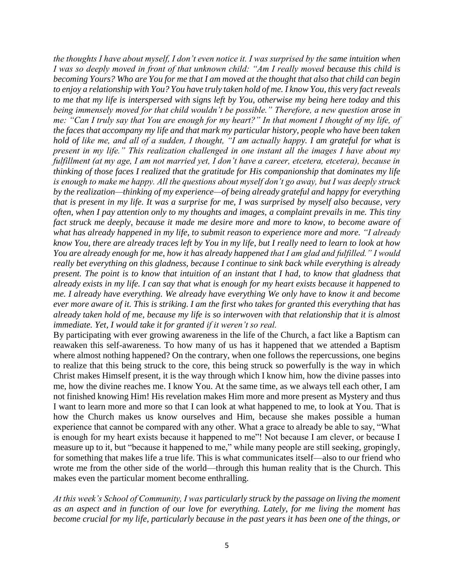*the thoughts I have about myself, I don't even notice it. I was surprised by the same intuition when I was so deeply moved in front of that unknown child: "Am I really moved because this child is becoming Yours? Who are You for me that I am moved at the thought that also that child can begin to enjoy a relationship with You? You have truly taken hold of me. I know You, this very fact reveals to me that my life is interspersed with signs left by You, otherwise my being here today and this being immensely moved for that child wouldn't be possible." Therefore, a new question arose in me: "Can I truly say that You are enough for my heart?" In that moment I thought of my life, of the faces that accompany my life and that mark my particular history, people who have been taken hold of like me, and all of a sudden, I thought, "I am actually happy. I am grateful for what is present in my life." This realization challenged in one instant all the images I have about my fulfillment (at my age, I am not married yet, I don't have a career, etcetera, etcetera), because in thinking of those faces I realized that the gratitude for His companionship that dominates my life is enough to make me happy. All the questions about myself don't go away, but I was deeply struck by the realization—thinking of my experience—of being already grateful and happy for everything that is present in my life. It was a surprise for me, I was surprised by myself also because, very often, when I pay attention only to my thoughts and images, a complaint prevails in me. This tiny fact struck me deeply, because it made me desire more and more to know, to become aware of what has already happened in my life, to submit reason to experience more and more. "I already know You, there are already traces left by You in my life, but I really need to learn to look at how You are already enough for me, how it has already happened that I am glad and fulfilled." I would really bet everything on this gladness, because I continue to sink back while everything is already present. The point is to know that intuition of an instant that I had, to know that gladness that already exists in my life. I can say that what is enough for my heart exists because it happened to me. I already have everything. We already have everything We only have to know it and become ever more aware of it. This is striking. I am the first who takes for granted this everything that has already taken hold of me, because my life is so interwoven with that relationship that it is almost immediate. Yet, I would take it for granted if it weren't so real.*

By participating with ever growing awareness in the life of the Church, a fact like a Baptism can reawaken this self-awareness. To how many of us has it happened that we attended a Baptism where almost nothing happened? On the contrary, when one follows the repercussions, one begins to realize that this being struck to the core, this being struck so powerfully is the way in which Christ makes Himself present, it is the way through which I know him, how the divine passes into me, how the divine reaches me. I know You. At the same time, as we always tell each other, I am not finished knowing Him! His revelation makes Him more and more present as Mystery and thus I want to learn more and more so that I can look at what happened to me, to look at You. That is how the Church makes us know ourselves and Him, because she makes possible a human experience that cannot be compared with any other. What a grace to already be able to say, "What is enough for my heart exists because it happened to me"! Not because I am clever, or because I measure up to it, but "because it happened to me," while many people are still seeking, gropingly, for something that makes life a true life. This is what communicates itself—also to our friend who wrote me from the other side of the world—through this human reality that is the Church. This makes even the particular moment become enthralling.

*At this week's School of Community, I was particularly struck by the passage on living the moment as an aspect and in function of our love for everything. Lately, for me living the moment has become crucial for my life, particularly because in the past years it has been one of the things, or*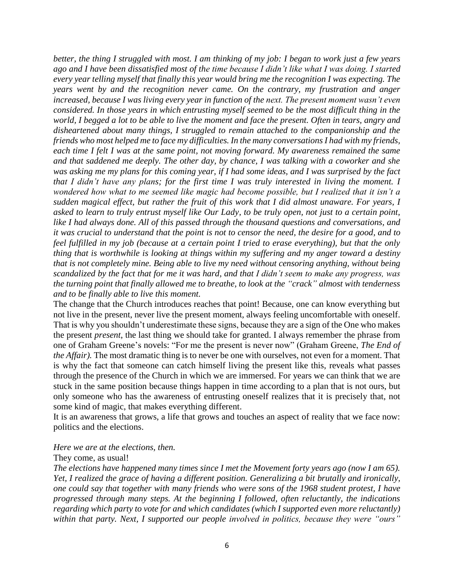*better, the thing I struggled with most. I am thinking of my job: I began to work just a few years ago and I have been dissatisfied most of the time because I didn't like what I was doing. I started every year telling myself that finally this year would bring me the recognition I was expecting. The years went by and the recognition never came. On the contrary, my frustration and anger increased, because I was living every year in function of the next. The present moment wasn't even considered. In those years in which entrusting myself seemed to be the most difficult thing in the world, I begged a lot to be able to live the moment and face the present. Often in tears, angry and disheartened about many things, I struggled to remain attached to the companionship and the friends who most helped me to face my difficulties. In the many conversations I had with my friends, each time I felt I was at the same point, not moving forward. My awareness remained the same and that saddened me deeply. The other day, by chance, I was talking with a coworker and she was asking me my plans for this coming year, if I had some ideas, and I was surprised by the fact that I didn't have any plans; for the first time I was truly interested in living the moment. I wondered how what to me seemed like magic had become possible, but I realized that it isn't a sudden magical effect, but rather the fruit of this work that I did almost unaware. For years, I asked to learn to truly entrust myself like Our Lady, to be truly open, not just to a certain point, like I had always done. All of this passed through the thousand questions and conversations, and it was crucial to understand that the point is not to censor the need, the desire for a good, and to feel fulfilled in my job (because at a certain point I tried to erase everything), but that the only thing that is worthwhile is looking at things within my suffering and my anger toward a destiny that is not completely mine. Being able to live my need without censoring anything, without being scandalized by the fact that for me it was hard, and that I didn't seem to make any progress, was the turning point that finally allowed me to breathe, to look at the "crack" almost with tenderness and to be finally able to live this moment.*

The change that the Church introduces reaches that point! Because, one can know everything but not live in the present, never live the present moment, always feeling uncomfortable with oneself. That is why you shouldn't underestimate these signs, because they are a sign of the One who makes the present *present*, the last thing we should take for granted. I always remember the phrase from one of Graham Greene's novels: "For me the present is never now" (Graham Greene, *The End of the Affair).* The most dramatic thing is to never be one with ourselves, not even for a moment. That is why the fact that someone can catch himself living the present like this, reveals what passes through the presence of the Church in which we are immersed. For years we can think that we are stuck in the same position because things happen in time according to a plan that is not ours, but only someone who has the awareness of entrusting oneself realizes that it is precisely that, not some kind of magic, that makes everything different.

It is an awareness that grows, a life that grows and touches an aspect of reality that we face now: politics and the elections.

## *Here we are at the elections, then.*

#### They come, as usual!

*The elections have happened many times since I met the Movement forty years ago (now I am 65). Yet, I realized the grace of having a different position. Generalizing a bit brutally and ironically, one could say that together with many friends who were sons of the 1968 student protest, I have progressed through many steps. At the beginning I followed, often reluctantly, the indications regarding which party to vote for and which candidates (which I supported even more reluctantly) within that party. Next, I supported our people involved in politics, because they were "ours"*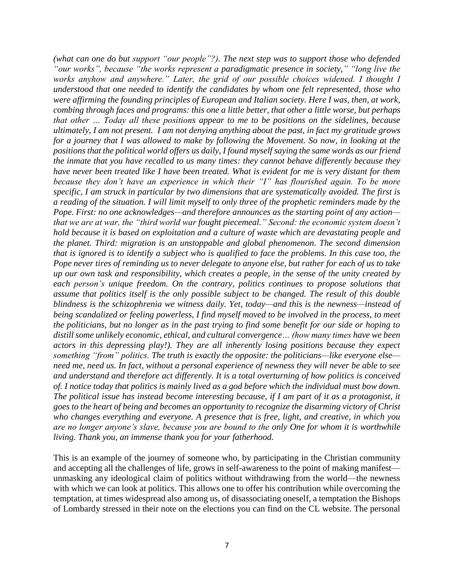*(what can one do but support "our people"?). The next step was to support those who defended "our works", because "the works represent a paradigmatic presence in society," "long live the works anyhow and anywhere." Later, the grid of our possible choices widened. I thought I understood that one needed to identify the candidates by whom one felt represented, those who were affirming the founding principles of European and Italian society. Here I was, then, at work, combing through faces and programs: this one a little better, that other a little worse, but perhaps that other … Today all these positions appear to me to be positions on the sidelines, because ultimately, I am not present. I am not denying anything about the past, in fact my gratitude grows for a journey that I was allowed to make by following the Movement. So now, in looking at the positions that the political world offers us daily, I found myself saying the same words as our friend the inmate that you have recalled to us many times: they cannot behave differently because they have never been treated like I have been treated. What is evident for me is very distant for them because they don't have an experience in which their "I" has flourished again. To be more specific, I am struck in particular by two dimensions that are systematically avoided. The first is a reading of the situation. I will limit myself to only three of the prophetic reminders made by the Pope. First: no one acknowledges—and therefore announces as the starting point of any action that we are at war, the "third world war fought piecemeal." Second: the economic system doesn't hold because it is based on exploitation and a culture of waste which are devastating people and the planet. Third: migration is an unstoppable and global phenomenon. The second dimension that is ignored is to identify a subject who is qualified to face the problems. In this case too, the Pope never tires of reminding us to never delegate to anyone else, but rather for each of us to take up our own task and responsibility, which creates a people, in the sense of the unity created by each person's unique freedom. On the contrary, politics continues to propose solutions that assume that politics itself is the only possible subject to be changed. The result of this double blindness is the schizophrenia we witness daily. Yet, today—and this is the newness—instead of being scandalized or feeling powerless, I find myself moved to be involved in the process, to meet the politicians, but no longer as in the past trying to find some benefit for our side or hoping to distill some unlikely economic, ethical, and cultural convergence… (how many times have we been actors in this depressing play!). They are all inherently losing positions because they expect something "from" politics. The truth is exactly the opposite: the politicians—like everyone else need me, need us. In fact, without a personal experience of newness they will never be able to see and understand and therefore act differently. It is a total overturning of how politics is conceived of. I notice today that politics is mainly lived as a god before which the individual must bow down. The political issue has instead become interesting because, if I am part of it as a protagonist, it goes to the heart of being and becomes an opportunity to recognize the disarming victory of Christ who changes everything and everyone. A presence that is free, light, and creative, in which you are no longer anyone's slave, because you are bound to the only One for whom it is worthwhile living. Thank you, an immense thank you for your fatherhood.* 

This is an example of the journey of someone who, by participating in the Christian community and accepting all the challenges of life, grows in self-awareness to the point of making manifest unmasking any ideological claim of politics without withdrawing from the world—the newness with which we can look at politics. This allows one to offer his contribution while overcoming the temptation, at times widespread also among us, of disassociating oneself, a temptation the Bishops of Lombardy stressed in their note on the elections you can find on the CL website. The personal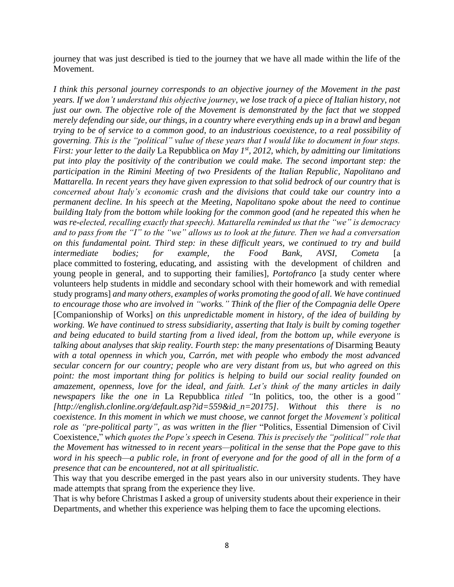journey that was just described is tied to the journey that we have all made within the life of the Movement.

*I think this personal journey corresponds to an objective journey of the Movement in the past years. If we don't understand this objective journey, we lose track of a piece of Italian history, not just our own. The objective role of the Movement is demonstrated by the fact that we stopped merely defending our side, our things, in a country where everything ends up in a brawl and began trying to be of service to a common good, to an industrious coexistence, to a real possibility of governing. This is the "political" value of these years that I would like to document in four steps. First: your letter to the daily* La Repubblica *on May 1st, 2012, which, by admitting our limitations put into play the positivity of the contribution we could make. The second important step: the participation in the Rimini Meeting of two Presidents of the Italian Republic, Napolitano and Mattarella. In recent years they have given expression to that solid bedrock of our country that is concerned about Italy's economic crash and the divisions that could take our country into a permanent decline. In his speech at the Meeting, Napolitano spoke about the need to continue building Italy from the bottom while looking for the common good (and he repeated this when he was re-elected, recalling exactly that speech). Mattarella reminded us that the "we" is democracy and to pass from the "I" to the "we" allows us to look at the future. Then we had a conversation on this fundamental point. Third step: in these difficult years, we continued to try and build intermediate bodies; for example, the Food Bank, AVSI, Cometa* [a place committed to fostering, educating, and assisting with the development of children and young people in general, and to supporting their families]*, Portofranco* [a study center where volunteers help students in middle and secondary school with their homework and with remedial study programs] *and many others, examples of works promoting the good of all. We have continued to encourage those who are involved in "works." Think of the flier of the Compagnia delle Opere*  [Companionship of Works] *on this unpredictable moment in history, of the idea of building by working. We have continued to stress subsidiarity, asserting that Italy is built by coming together and being educated to build starting from a lived ideal, from the bottom up, while everyone is talking about analyses that skip reality. Fourth step: the many presentations of Disarming Beauty with a total openness in which you, Carrón, met with people who embody the most advanced secular concern for our country; people who are very distant from us, but who agreed on this point: the most important thing for politics is helping to build our social reality founded on amazement, openness, love for the ideal, and faith. Let's think of the many articles in daily newspapers like the one in* La Repubblica *titled "*In politics, too, the other is a good*" [http://english.clonline.org/default.asp?id=559&id\_n=20175]. Without this there is no coexistence. In this moment in which we must choose, we cannot forget the Movement's political role as "pre-political party", as was written in the flier* "Politics, Essential Dimension of Civil Coexistence," *which quotes the Pope's speech in Cesena. This is precisely the "political" role that the Movement has witnessed to in recent years—political in the sense that the Pope gave to this word in his speech—a public role, in front of everyone and for the good of all in the form of a presence that can be encountered, not at all spiritualistic.*

This way that you describe emerged in the past years also in our university students. They have made attempts that sprang from the experience they live.

That is why before Christmas I asked a group of university students about their experience in their Departments, and whether this experience was helping them to face the upcoming elections.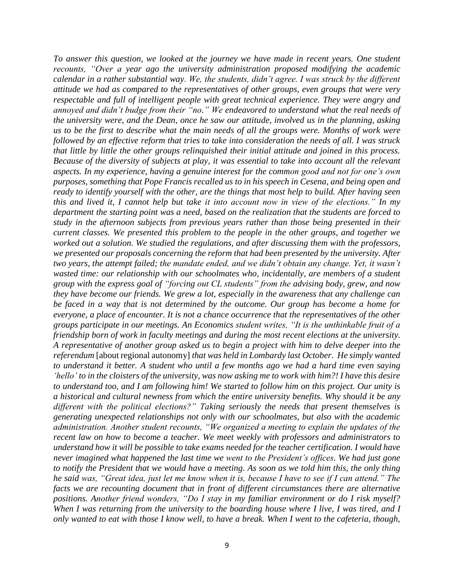*To answer this question, we looked at the journey we have made in recent years. One student recounts, "Over a year ago the university administration proposed modifying the academic calendar in a rather substantial way. We, the students, didn't agree. I was struck by the different attitude we had as compared to the representatives of other groups, even groups that were very respectable and full of intelligent people with great technical experience. They were angry and annoyed and didn't budge from their "no." We endeavored to understand what the real needs of the university were, and the Dean, once he saw our attitude, involved us in the planning, asking us to be the first to describe what the main needs of all the groups were. Months of work were followed by an effective reform that tries to take into consideration the needs of all. I was struck that little by little the other groups relinquished their initial attitude and joined in this process. Because of the diversity of subjects at play, it was essential to take into account all the relevant aspects. In my experience, having a genuine interest for the common good and not for one's own purposes, something that Pope Francis recalled us to in his speech in Cesena, and being open and ready to identify yourself with the other, are the things that most help to build. After having seen this and lived it, I cannot help but take it into account now in view of the elections." In my department the starting point was a need, based on the realization that the students are forced to study in the afternoon subjects from previous years rather than those being presented in their current classes. We presented this problem to the people in the other groups, and together we worked out a solution. We studied the regulations, and after discussing them with the professors, we presented our proposals concerning the reform that had been presented by the university. After two years, the attempt failed; the mandate ended, and we didn't obtain any change. Yet, it wasn't wasted time: our relationship with our schoolmates who, incidentally, are members of a student group with the express goal of "forcing out CL students" from the advising body, grew, and now they have become our friends. We grew a lot, especially in the awareness that any challenge can be faced in a way that is not determined by the outcome. Our group has become a home for everyone, a place of encounter. It is not a chance occurrence that the representatives of the other groups participate in our meetings. An Economics student writes, "It is the unthinkable fruit of a friendship born of work in faculty meetings and during the most recent elections at the university. A representative of another group asked us to begin a project with him to delve deeper into the referendum* [about regional autonomy] *that was held in Lombardy last October. He simply wanted to understand it better. A student who until a few months ago we had a hard time even saying 'hello' to in the cloisters of the university, was now asking me to work with him?! I have this desire to understand too, and I am following him! We started to follow him on this project. Our unity is a historical and cultural newness from which the entire university benefits. Why should it be any different with the political elections?" Taking seriously the needs that present themselves is generating unexpected relationships not only with our schoolmates, but also with the academic administration. Another student recounts, "We organized a meeting to explain the updates of the recent law on how to become a teacher. We meet weekly with professors and administrators to understand how it will be possible to take exams needed for the teacher certification. I would have never imagined what happened the last time we went to the President's offices. We had just gone to notify the President that we would have a meeting. As soon as we told him this, the only thing he said was, "Great idea, just let me know when it is, because I have to see if I can attend." The facts we are recounting document that in front of different circumstances there are alternative positions. Another friend wonders, "Do I stay in my familiar environment or do I risk myself? When I was returning from the university to the boarding house where I live, I was tired, and I only wanted to eat with those I know well, to have a break. When I went to the cafeteria, though,*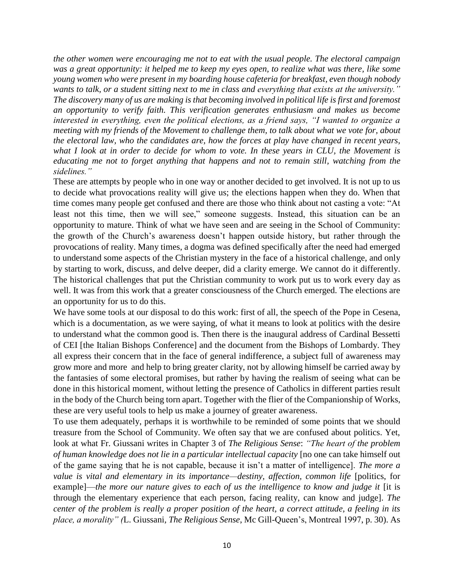*the other women were encouraging me not to eat with the usual people. The electoral campaign was a great opportunity: it helped me to keep my eyes open, to realize what was there, like some young women who were present in my boarding house cafeteria for breakfast, even though nobody wants to talk, or a student sitting next to me in class and everything that exists at the university." The discovery many of us are making is that becoming involved in political life is first and foremost an opportunity to verify faith. This verification generates enthusiasm and makes us become interested in everything, even the political elections, as a friend says, "I wanted to organize a meeting with my friends of the Movement to challenge them, to talk about what we vote for, about the electoral law, who the candidates are, how the forces at play have changed in recent years, what I look at in order to decide for whom to vote. In these years in CLU, the Movement is educating me not to forget anything that happens and not to remain still, watching from the sidelines."*

These are attempts by people who in one way or another decided to get involved. It is not up to us to decide what provocations reality will give us; the elections happen when they do. When that time comes many people get confused and there are those who think about not casting a vote: "At least not this time, then we will see," someone suggests. Instead, this situation can be an opportunity to mature. Think of what we have seen and are seeing in the School of Community: the growth of the Church's awareness doesn't happen outside history, but rather through the provocations of reality. Many times, a dogma was defined specifically after the need had emerged to understand some aspects of the Christian mystery in the face of a historical challenge, and only by starting to work, discuss, and delve deeper, did a clarity emerge. We cannot do it differently. The historical challenges that put the Christian community to work put us to work every day as well. It was from this work that a greater consciousness of the Church emerged. The elections are an opportunity for us to do this.

We have some tools at our disposal to do this work: first of all, the speech of the Pope in Cesena, which is a documentation, as we were saying, of what it means to look at politics with the desire to understand what the common good is. Then there is the inaugural address of Cardinal Bessetti of CEI [the Italian Bishops Conference] and the document from the Bishops of Lombardy. They all express their concern that in the face of general indifference, a subject full of awareness may grow more and more and help to bring greater clarity, not by allowing himself be carried away by the fantasies of some electoral promises, but rather by having the realism of seeing what can be done in this historical moment, without letting the presence of Catholics in different parties result in the body of the Church being torn apart. Together with the flier of the Companionship of Works, these are very useful tools to help us make a journey of greater awareness.

To use them adequately, perhaps it is worthwhile to be reminded of some points that we should treasure from the School of Community. We often say that we are confused about politics. Yet, look at what Fr. Giussani writes in Chapter 3 of *The Religious Sense*: *"The heart of the problem of human knowledge does not lie in a particular intellectual capacity* [no one can take himself out of the game saying that he is not capable, because it isn't a matter of intelligence]. *The more a value is vital and elementary in its importance—destiny, affection, common life* [politics, for example]—*the more our nature gives to each of us the intelligence to know and judge it* [it is through the elementary experience that each person, facing reality, can know and judge]. *The center of the problem is really a proper position of the heart, a correct attitude, a feeling in its place, a morality" (*L. Giussani*, The Religious Sense*, Mc Gill-Queen's, Montreal 1997, p. 30). As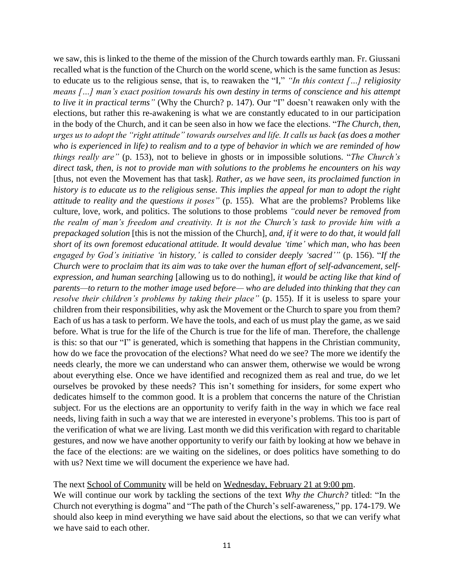we saw, this is linked to the theme of the mission of the Church towards earthly man. Fr. Giussani recalled what is the function of the Church on the world scene, which is the same function as Jesus: to educate us to the religious sense, that is, to reawaken the "I," *"In this context […] religiosity means […] man's exact position towards his own destiny in terms of conscience and his attempt to live it in practical terms"* (Why the Church? p. 147). Our "I" doesn't reawaken only with the elections, but rather this re-awakening is what we are constantly educated to in our participation in the body of the Church, and it can be seen also in how we face the elections. "*The Church, then, urges us to adopt the "right attitude" towards ourselves and life. It calls us back (as does a mother who is experienced in life) to realism and to a type of behavior in which we are reminded of how things really are"* (p. 153), not to believe in ghosts or in impossible solutions. "*The Church's direct task, then, is not to provide man with solutions to the problems he encounters on his way*  [thus, not even the Movement has that task]*. Rather, as we have seen, its proclaimed function in history is to educate us to the religious sense. This implies the appeal for man to adopt the right attitude to reality and the questions it poses"* (p. 155). What are the problems? Problems like culture, love, work, and politics. The solutions to those problems *"could never be removed from the realm of man's freedom and creativity. It is not the Church's task to provide him with a prepackaged solution* [this is not the mission of the Church], *and, if it were to do that, it would fall short of its own foremost educational attitude. It would devalue 'time' which man, who has been engaged by God's initiative 'in history,' is called to consider deeply 'sacred'"* (p. 156). "*If the Church were to proclaim that its aim was to take over the human effort of self-advancement, selfexpression, and human searching* [allowing us to do nothing]*, it would be acting like that kind of parents—to return to the mother image used before— who are deluded into thinking that they can resolve their children's problems by taking their place"* (p. 155). If it is useless to spare your children from their responsibilities, why ask the Movement or the Church to spare you from them? Each of us has a task to perform. We have the tools, and each of us must play the game, as we said before. What is true for the life of the Church is true for the life of man. Therefore, the challenge is this: so that our "I" is generated, which is something that happens in the Christian community, how do we face the provocation of the elections? What need do we see? The more we identify the needs clearly, the more we can understand who can answer them, otherwise we would be wrong about everything else. Once we have identified and recognized them as real and true, do we let ourselves be provoked by these needs? This isn't something for insiders, for some expert who dedicates himself to the common good. It is a problem that concerns the nature of the Christian subject. For us the elections are an opportunity to verify faith in the way in which we face real needs, living faith in such a way that we are interested in everyone's problems. This too is part of the verification of what we are living. Last month we did this verification with regard to charitable gestures, and now we have another opportunity to verify our faith by looking at how we behave in the face of the elections: are we waiting on the sidelines, or does politics have something to do with us? Next time we will document the experience we have had.

The next School of Community will be held on Wednesday, February 21 at 9:00 pm.

We will continue our work by tackling the sections of the text *Why the Church?* titled: "In the Church not everything is dogma" and "The path of the Church's self-awareness," pp. 174-179. We should also keep in mind everything we have said about the elections, so that we can verify what we have said to each other.